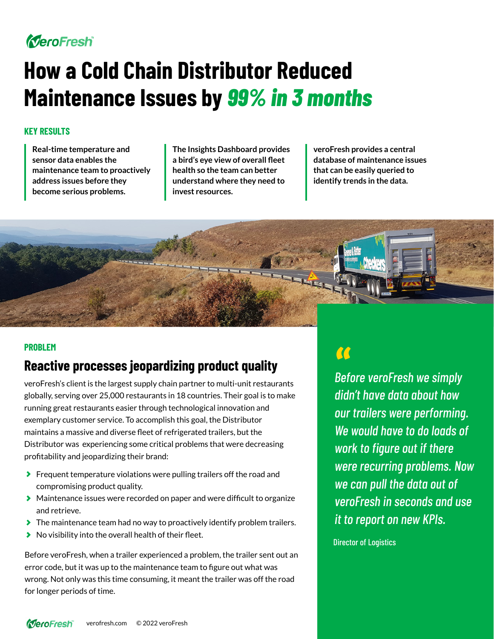# MeroFresh

# **How a Cold Chain Distributor Reduced Maintenance Issues by** *99% in 3 months*

### **KEY RESULTS**

**Real-time temperature and sensor data enables the maintenance team to proactively address issues before they become serious problems.**

**The Insights Dashboard provides a bird's eye view of overall fleet health so the team can better understand where they need to invest resources.** 

**veroFresh provides a central database of maintenance issues that can be easily queried to identify trends in the data.** 



#### **PROBLEM**

## **Reactive processes jeopardizing product quality**

veroFresh's client is the largest supply chain partner to multi-unit restaurants globally, serving over 25,000 restaurants in 18 countries. Their goal is to make running great restaurants easier through technological innovation and exemplary customer service. To accomplish this goal, the Distributor maintains a massive and diverse fleet of refrigerated trailers, but the Distributor was experiencing some critical problems that were decreasing profitability and jeopardizing their brand:

- **Figure 2** Frequent temperature violations were pulling trailers off the road and compromising product quality.
- Maintenance issues were recorded on paper and were difficult to organize and retrieve.
- The maintenance team had no way to proactively identify problem trailers.
- $\blacktriangleright$  No visibility into the overall health of their fleet.

Before veroFresh, when a trailer experienced a problem, the trailer sent out an error code, but it was up to the maintenance team to figure out what was wrong. Not only was this time consuming, it meant the trailer was off the road for longer periods of time.

*Before veroFresh we simply*  " *didn't have data about how our trailers were performing. We would have to do loads of work to figure out if there were recurring problems. Now we can pull the data out of veroFresh in seconds and use it to report on new KPIs.*

Director of Logistics